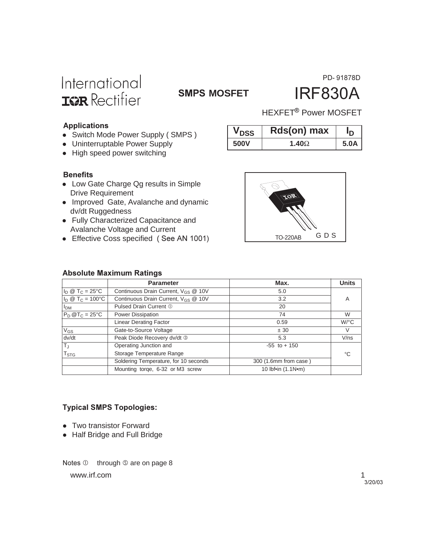#### PD-91878D



# **SMPS MOSFET**  $\overline{\mathsf{IR}}$

### **IRF830A** HEXFET<sup>®</sup> Power MOSFET

#### **Applications**

- Switch Mode Power Supply ( SMPS )
- Uninterruptable Power Supply
- High speed power switching

#### **Benefits**

- Low Gate Charge Qg results in Simple Drive Requirement
- Improved Gate, Avalanche and dynamic dv/dt Ruggedness
- Fully Characterized Capacitance and Avalanche Voltage and Current
- Effective Coss specified (See AN 1001)



**V**<sub>DSS</sub> Rds(on) max I<sub>D</sub> **500V 1.40**Ω **5.0A**

#### **Absolute Maximum Ratings**

|                               | <b>Parameter</b>                                   | Max.                  | <b>Units</b>       |
|-------------------------------|----------------------------------------------------|-----------------------|--------------------|
| $I_{D} @ T_{C} = 25^{\circ}C$ | Continuous Drain Current, $V_{CS} \n\circledR 10V$ | 5.0                   |                    |
| $I_D @ T_C = 100°C$           | Continuous Drain Current, V <sub>GS</sub> @ 10V    | 3.2                   | A                  |
| $ I_{DM} $                    | Pulsed Drain Current 1                             | 20                    |                    |
| $P_D @T_C = 25°C$             | Power Dissipation                                  | 74                    | W                  |
|                               | <b>Linear Derating Factor</b>                      | 0.59                  | $W$ <sup>o</sup> C |
| $ V_{GS} $                    | Gate-to-Source Voltage                             | ± 30                  | V                  |
| dv/dt                         | Peak Diode Recovery dv/dt 3                        | 5.3                   | V/ns               |
| $T_J$                         | Operating Junction and                             | $-55$ to $+150$       |                    |
| $\mathsf{T}_{\texttt{STG}}$   | Storage Temperature Range                          |                       | °C                 |
|                               | Soldering Temperature, for 10 seconds              | 300 (1.6mm from case) |                    |
|                               | Mounting torge, 6-32 or M3 screw                   | 10 lbf•in (1.1N•m)    |                    |
|                               |                                                    |                       |                    |

### **Typical SMPS Topologies:**

- Two transistor Forward
- Half Bridge and Full Bridge

Notes  $\mathbb O$  through  $\mathbb S$  are on page 8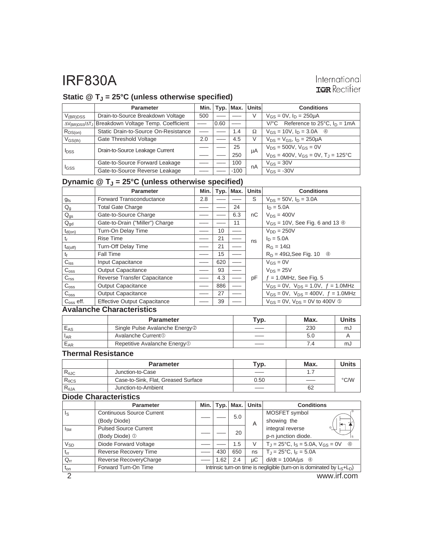### International **IOR** Rectifier

### Static @ T<sub>J</sub> = 25°C (unless otherwise specified)

|                         | <b>Parameter</b>                                                           | Min. |      |        | Typ.   Max.   Units | <b>Conditions</b>                                |
|-------------------------|----------------------------------------------------------------------------|------|------|--------|---------------------|--------------------------------------------------|
| $V_{(BR)DSS}$           | Drain-to-Source Breakdown Voltage                                          | 500  |      |        |                     | $V_{GS} = 0V$ , $I_D = 250 \mu A$                |
|                         | ∆V <sub>(BR)DSS</sub> /∆T <sub>J</sub> Breakdown Voltage Temp. Coefficient |      | 0.60 |        |                     | $V^{\circ}$ C Reference to 25°C, $I_{D} = 1mA$   |
| $R_{DS(on)}$            | Static Drain-to-Source On-Resistance                                       |      |      | 1.4    | Ω                   | $V_{GS} = 10V$ , $I_D = 3.0A$ 4                  |
| $V_{GS(th)}$            | Gate Threshold Voltage                                                     | 2.0  |      | 4.5    | V                   | $V_{DS} = V_{GS}$ , $I_D = 250 \mu A$            |
| <b>I</b> <sub>DSS</sub> | Drain-to-Source Leakage Current                                            |      |      | 25     | uA                  | $V_{DS} = 500V$ , $V_{GS} = 0V$                  |
|                         |                                                                            |      |      | 250    |                     | $V_{DS} = 400V$ , $V_{GS} = 0V$ , $T_J = 125$ °C |
| lgss                    | Gate-to-Source Forward Leakage                                             |      |      | 100    | nA                  | $V_{GS} = 30V$                                   |
|                         | Gate-to-Source Reverse Leakage                                             |      |      | $-100$ |                     | $V_{GS} = -30V$                                  |

### **Dynamic @ TJ = 25°C (unless otherwise specified)**

|                           | <b>Parameter</b>                    | Min. | Typ. | Max. | <b>Units</b> | <b>Conditions</b>                                    |
|---------------------------|-------------------------------------|------|------|------|--------------|------------------------------------------------------|
| $g_{fs}$                  | <b>Forward Transconductance</b>     | 2.8  |      |      | S            | $V_{DS} = 50V$ , $I_D = 3.0A$                        |
| $\mathsf{Q}_{\texttt{g}}$ | <b>Total Gate Charge</b>            |      |      | 24   |              | $I_D = 5.0A$                                         |
| $Q_{gs}$                  | Gate-to-Source Charge               |      |      | 6.3  | nС           | $V_{DS} = 400V$                                      |
| $Q_{gd}$                  | Gate-to-Drain ("Miller") Charge     |      |      | 11   |              | $V_{GS}$ = 10V, See Fig. 6 and 13 $\circledcirc$     |
| $t_{d(on)}$               | Turn-On Delay Time                  |      | 10   |      |              | $V_{DD} = 250V$                                      |
| tr                        | <b>Rise Time</b>                    |      | 21   |      | ns           | $I_D = 5.0A$                                         |
| $t_{d(off)}$              | Turn-Off Delay Time                 |      | 21   |      |              | $R_G = 14\Omega$                                     |
| $t_{f}$                   | Fall Time                           |      | 15   |      |              | $R_D = 49\Omega$ , See Fig. 10 $\Phi$                |
| $C_{iss}$                 | Input Capacitance                   |      | 620  |      |              | $V_{GS} = 0V$                                        |
| C <sub>oss</sub>          | <b>Output Capacitance</b>           |      | 93   |      |              | $V_{DS} = 25V$                                       |
| C <sub>rss</sub>          | Reverse Transfer Capacitance        |      | 4.3  |      | pF           | $f = 1.0$ MHz, See Fig. 5                            |
| C <sub>oss</sub>          | <b>Output Capacitance</b>           |      | 886  |      |              | $V_{GS} = 0V$ , $V_{DS} = 1.0V$ , $f = 1.0MHz$       |
| C <sub>oss</sub>          | <b>Output Capacitance</b>           |      | 27   |      |              | $V_{GS} = 0V$ , $V_{DS} = 400V$ , $f = 1.0 MHz$      |
| $C_{\rm oss}$ eff.        | <b>Effective Output Capacitance</b> |      | 39   |      |              | $V_{GS} = 0V$ , $V_{DS} = 0V$ to 400V $\circledcirc$ |

#### **Avalanche Characteristics**

|          | <b>Parameter</b>                           | Typ. | Max. | <b>Units</b> |
|----------|--------------------------------------------|------|------|--------------|
| $E_{AS}$ | Single Pulse Avalanche Energy <sup>2</sup> |      | 230  | mJ           |
| $I_{AR}$ | Avalanche Current <sup>1</sup>             |      | 5.C  |              |
| $E_{AR}$ | Repetitive Avalanche Energy <sup>1</sup>   |      | 7.4  | mJ           |

#### **Thermal Resistance**

|                 | <b>Parameter</b>                    | Typ. | Max. | <b>Units</b>  |
|-----------------|-------------------------------------|------|------|---------------|
| $R_{\theta$ JC  | Junction-to-Case                    |      |      |               |
| $R_{\theta CS}$ | Case-to-Sink, Flat, Greased Surface | 0.50 |      | $\degree$ C/W |
| $R_{\theta$ JA  | Junction-to-Ambient                 |      | 62   |               |

### **Diode Characteristics**

|                 | <b>Parameter</b>                 | Min.                                                                      | Typ. | Max. | <b>Units</b>   | <b>Conditions</b>                                    |
|-----------------|----------------------------------|---------------------------------------------------------------------------|------|------|----------------|------------------------------------------------------|
| Is              | <b>Continuous Source Current</b> |                                                                           |      | 5.0  | $\overline{A}$ | MOSFET symbol                                        |
|                 | (Body Diode)                     |                                                                           |      |      |                | showing the                                          |
| l <sub>SM</sub> | <b>Pulsed Source Current</b>     |                                                                           |      |      |                | integral reverse<br>G                                |
|                 | (Body Diode) 1                   |                                                                           |      | 20   |                | p-n junction diode.                                  |
| $V_{SD}$        | Diode Forward Voltage            |                                                                           |      | 1.5  | V              | $T_J = 25^{\circ}C$ , $I_S = 5.0A$ , $V_{GS} = 0V$ 4 |
| $t_{rr}$        | Reverse Recovery Time            |                                                                           | 430  | 650  | ns             | $T_J = 25^{\circ}C$ , $I_F = 5.0A$                   |
| $Q_{rr}$        | Reverse RecoveryCharge           |                                                                           | 1.62 | 2.4  | μC             | $di/dt = 100A/\mu s$ 4                               |
| $t_{\text{on}}$ | Forward Turn-On Time             | Intrinsic turn-on time is negligible (turn-on is dominated by $L_S+L_D$ ) |      |      |                |                                                      |
| ◠               |                                  |                                                                           |      |      |                | www.irf.com                                          |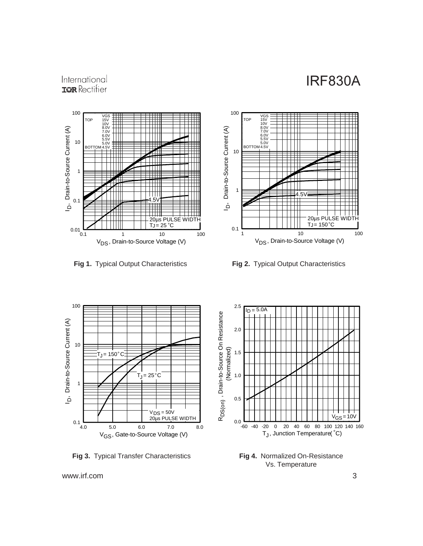### International **IOR** Rectifier



**Fig 1.** Typical Output Characteristics **Fig 2.** Typical Output Characteristics





**Fig 3.** Typical Transfer Characteristics



**Fig 4.** Normalized On-Resistance Vs. Temperature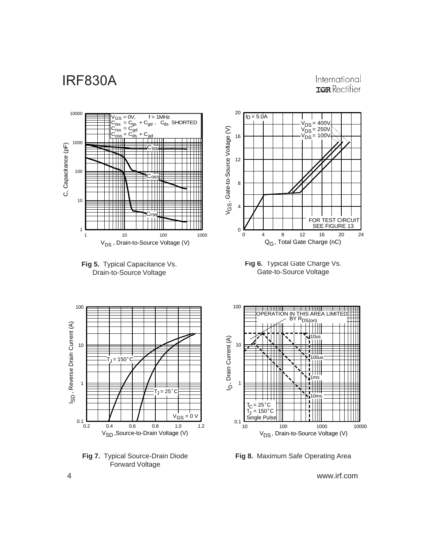International **IQR** Rectifier





**Fig 8.** Maximum Safe Operating Area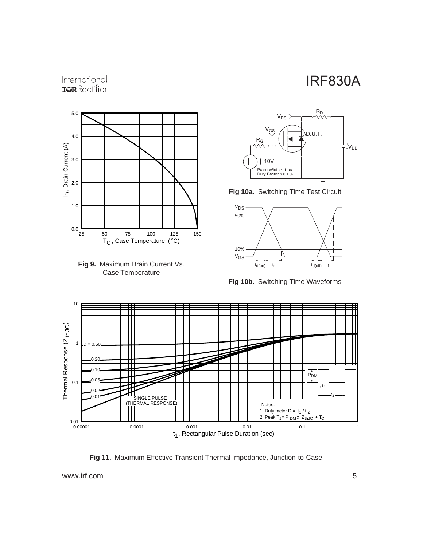

International **IOR** Rectifier





**Fig 10a.** Switching Time Test Circuit



**Fig 10b.** Switching Time Waveforms



**Fig 11.** Maximum Effective Transient Thermal Impedance, Junction-to-Case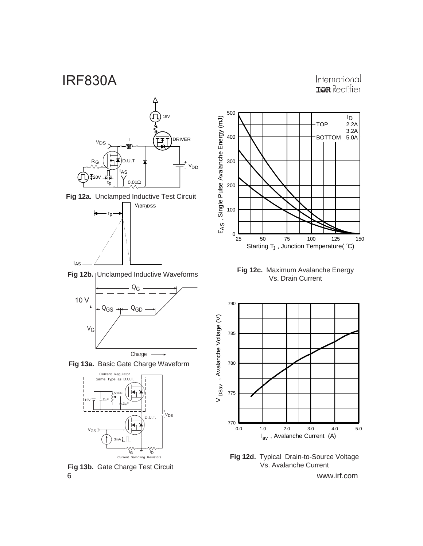



**Fig 13a.** Basic Gate Charge Waveform

Charge



6 www.irf.com **Fig 13b.** Gate Charge Test Circuit



**Fig 12c.** Maximum Avalanche Energy<br>Vs. Drain Current



Vs. Avalanche Current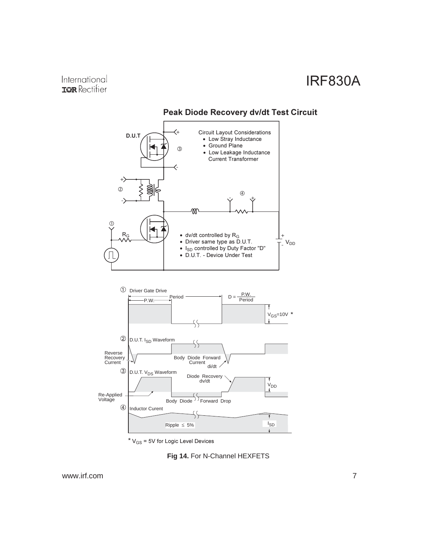

**Peak Diode Recovery dy/dt Test Circuit** 

\*  $V_{GS}$  = 5V for Logic Level Devices

**Fig 14.** For N-Channel HEXFETS